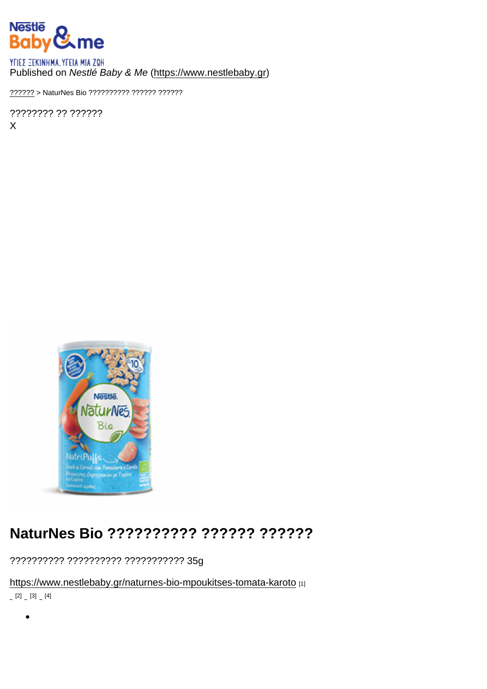#### Published on Nestlé Baby & Me [\(https://www.nestlebaby.gr](https://www.nestlebaby.gr))

[??????](https://www.nestlebaby.gr/) > NaturNes Bio ?????????? ?????? ??????

???????? ?? ?????? X

## NaturNes Bio ?????????? ?????? ??????

?????????? ?????????? ??????????? 35g

<https://www.nestlebaby.gr/naturnes-bio-mpoukitses-tomata-karoto> [1]  $[2]$   $[3]$   $[4]$ 

 $\bullet$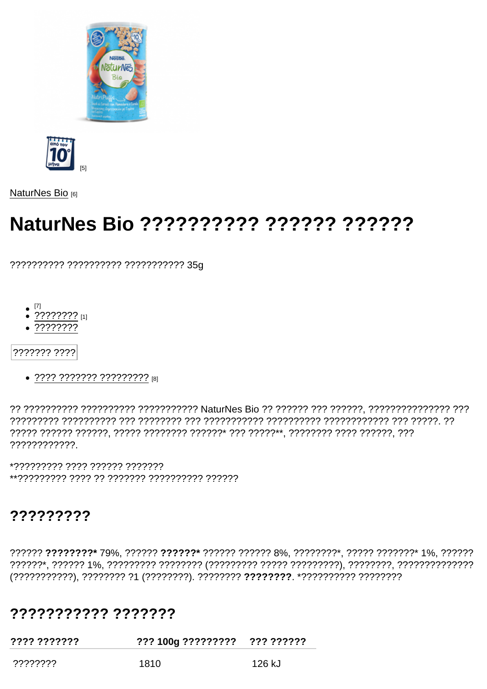$[5]$ 

NaturNes Bio [6]

# NaturNes Bio ?????????? ?????? ???????

?????????? ?????????? ??????????? 35q

- 
- $\bullet$  ???????? [1]
- $.77777777$

??????? ????

• ???? ??????? ?????????? [8]

????????????

\*????????? ???? ?????? ??????? 

### 777777777

?????? ????????\* 79%, ?????? ??????\* ?????? ?????? 8%, ????????\*, ????? ???????\* 1%, ?????? 

### 77777777777 7777777

| .<br>.          | ??? 100g ????????? | ??? ?????? |
|-----------------|--------------------|------------|
| , ????????<br>. | 1810               | 126 kJ     |